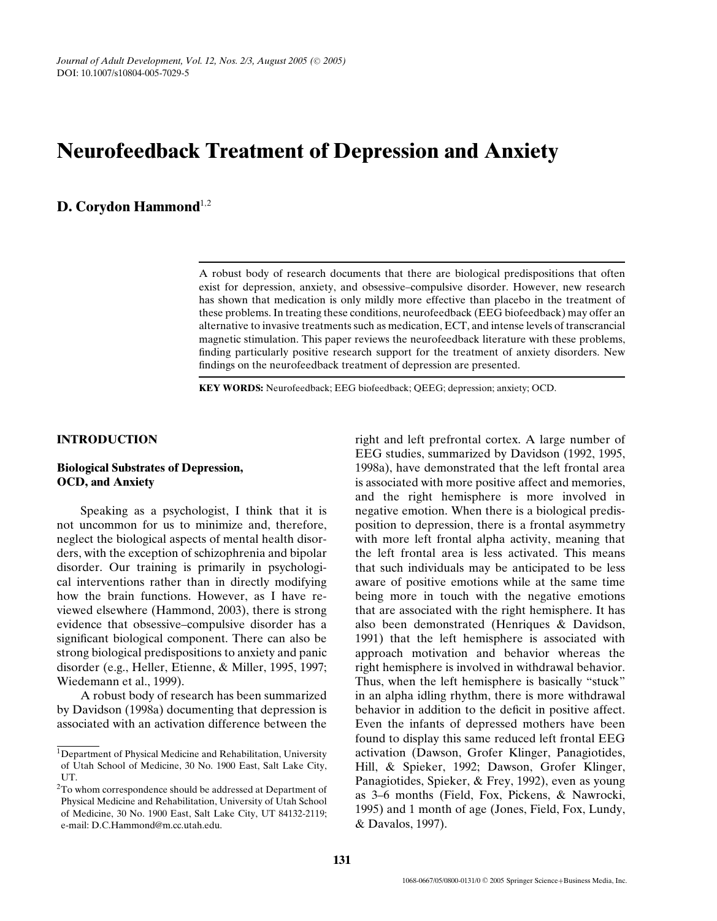# **Neurofeedback Treatment of Depression and Anxiety**

# **D. Corydon Hammond**<sup>1</sup>*,*<sup>2</sup>

A robust body of research documents that there are biological predispositions that often exist for depression, anxiety, and obsessive–compulsive disorder. However, new research has shown that medication is only mildly more effective than placebo in the treatment of these problems. In treating these conditions, neurofeedback (EEG biofeedback) may offer an alternative to invasive treatments such as medication, ECT, and intense levels of transcrancial magnetic stimulation. This paper reviews the neurofeedback literature with these problems, finding particularly positive research support for the treatment of anxiety disorders. New findings on the neurofeedback treatment of depression are presented.

**KEY WORDS:** Neurofeedback; EEG biofeedback; QEEG; depression; anxiety; OCD.

# **INTRODUCTION**

# **Biological Substrates of Depression, OCD, and Anxiety**

Speaking as a psychologist, I think that it is not uncommon for us to minimize and, therefore, neglect the biological aspects of mental health disorders, with the exception of schizophrenia and bipolar disorder. Our training is primarily in psychological interventions rather than in directly modifying how the brain functions. However, as I have reviewed elsewhere (Hammond, 2003), there is strong evidence that obsessive–compulsive disorder has a significant biological component. There can also be strong biological predispositions to anxiety and panic disorder (e.g., Heller, Etienne, & Miller, 1995, 1997; Wiedemann et al., 1999).

A robust body of research has been summarized by Davidson (1998a) documenting that depression is associated with an activation difference between the right and left prefrontal cortex. A large number of EEG studies, summarized by Davidson (1992, 1995, 1998a), have demonstrated that the left frontal area is associated with more positive affect and memories, and the right hemisphere is more involved in negative emotion. When there is a biological predisposition to depression, there is a frontal asymmetry with more left frontal alpha activity, meaning that the left frontal area is less activated. This means that such individuals may be anticipated to be less aware of positive emotions while at the same time being more in touch with the negative emotions that are associated with the right hemisphere. It has also been demonstrated (Henriques & Davidson, 1991) that the left hemisphere is associated with approach motivation and behavior whereas the right hemisphere is involved in withdrawal behavior. Thus, when the left hemisphere is basically "stuck" in an alpha idling rhythm, there is more withdrawal behavior in addition to the deficit in positive affect. Even the infants of depressed mothers have been found to display this same reduced left frontal EEG activation (Dawson, Grofer Klinger, Panagiotides, Hill, & Spieker, 1992; Dawson, Grofer Klinger, Panagiotides, Spieker, & Frey, 1992), even as young as 3–6 months (Field, Fox, Pickens, & Nawrocki, 1995) and 1 month of age (Jones, Field, Fox, Lundy, & Davalos, 1997).

 $1$ Department of Physical Medicine and Rehabilitation, University of Utah School of Medicine, 30 No. 1900 East, Salt Lake City, UT.

<sup>2</sup>To whom correspondence should be addressed at Department of Physical Medicine and Rehabilitation, University of Utah School of Medicine, 30 No. 1900 East, Salt Lake City, UT 84132-2119; e-mail: D.C.Hammond@m.cc.utah.edu.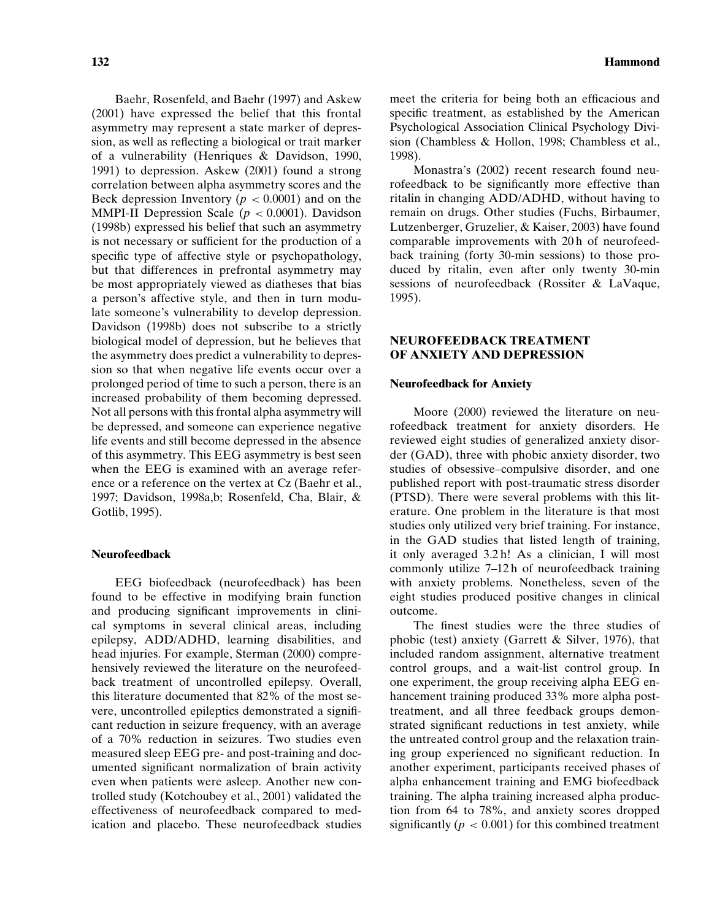Baehr, Rosenfeld, and Baehr (1997) and Askew (2001) have expressed the belief that this frontal asymmetry may represent a state marker of depression, as well as reflecting a biological or trait marker of a vulnerability (Henriques & Davidson, 1990, 1991) to depression. Askew (2001) found a strong correlation between alpha asymmetry scores and the Beck depression Inventory ( $p < 0.0001$ ) and on the MMPI-II Depression Scale ( $p < 0.0001$ ). Davidson (1998b) expressed his belief that such an asymmetry is not necessary or sufficient for the production of a specific type of affective style or psychopathology, but that differences in prefrontal asymmetry may be most appropriately viewed as diatheses that bias a person's affective style, and then in turn modulate someone's vulnerability to develop depression. Davidson (1998b) does not subscribe to a strictly biological model of depression, but he believes that the asymmetry does predict a vulnerability to depression so that when negative life events occur over a prolonged period of time to such a person, there is an increased probability of them becoming depressed. Not all persons with this frontal alpha asymmetry will be depressed, and someone can experience negative life events and still become depressed in the absence of this asymmetry. This EEG asymmetry is best seen when the EEG is examined with an average reference or a reference on the vertex at Cz (Baehr et al., 1997; Davidson, 1998a,b; Rosenfeld, Cha, Blair, & Gotlib, 1995).

#### **Neurofeedback**

EEG biofeedback (neurofeedback) has been found to be effective in modifying brain function and producing significant improvements in clinical symptoms in several clinical areas, including epilepsy, ADD/ADHD, learning disabilities, and head injuries. For example, Sterman (2000) comprehensively reviewed the literature on the neurofeedback treatment of uncontrolled epilepsy. Overall, this literature documented that 82% of the most severe, uncontrolled epileptics demonstrated a significant reduction in seizure frequency, with an average of a 70% reduction in seizures. Two studies even measured sleep EEG pre- and post-training and documented significant normalization of brain activity even when patients were asleep. Another new controlled study (Kotchoubey et al., 2001) validated the effectiveness of neurofeedback compared to medication and placebo. These neurofeedback studies

meet the criteria for being both an efficacious and specific treatment, as established by the American Psychological Association Clinical Psychology Division (Chambless & Hollon, 1998; Chambless et al., 1998).

Monastra's (2002) recent research found neurofeedback to be significantly more effective than ritalin in changing ADD/ADHD, without having to remain on drugs. Other studies (Fuchs, Birbaumer, Lutzenberger, Gruzelier, & Kaiser, 2003) have found comparable improvements with 20 h of neurofeedback training (forty 30-min sessions) to those produced by ritalin, even after only twenty 30-min sessions of neurofeedback (Rossiter & LaVaque, 1995).

# **NEUROFEEDBACK TREATMENT OF ANXIETY AND DEPRESSION**

#### **Neurofeedback for Anxiety**

Moore (2000) reviewed the literature on neurofeedback treatment for anxiety disorders. He reviewed eight studies of generalized anxiety disorder (GAD), three with phobic anxiety disorder, two studies of obsessive–compulsive disorder, and one published report with post-traumatic stress disorder (PTSD). There were several problems with this literature. One problem in the literature is that most studies only utilized very brief training. For instance, in the GAD studies that listed length of training, it only averaged 3.2 h! As a clinician, I will most commonly utilize 7–12 h of neurofeedback training with anxiety problems. Nonetheless, seven of the eight studies produced positive changes in clinical outcome.

The finest studies were the three studies of phobic (test) anxiety (Garrett & Silver, 1976), that included random assignment, alternative treatment control groups, and a wait-list control group. In one experiment, the group receiving alpha EEG enhancement training produced 33% more alpha posttreatment, and all three feedback groups demonstrated significant reductions in test anxiety, while the untreated control group and the relaxation training group experienced no significant reduction. In another experiment, participants received phases of alpha enhancement training and EMG biofeedback training. The alpha training increased alpha production from 64 to 78%, and anxiety scores dropped significantly ( $p < 0.001$ ) for this combined treatment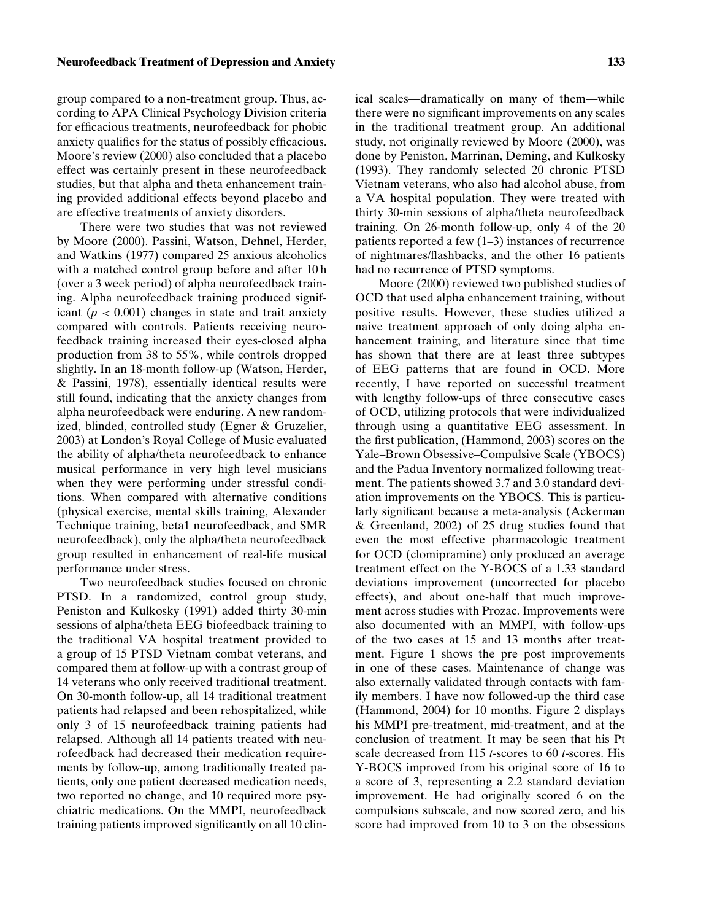# **Neurofeedback Treatment of Depression and Anxiety 133**

group compared to a non-treatment group. Thus, according to APA Clinical Psychology Division criteria for efficacious treatments, neurofeedback for phobic anxiety qualifies for the status of possibly efficacious. Moore's review (2000) also concluded that a placebo effect was certainly present in these neurofeedback studies, but that alpha and theta enhancement training provided additional effects beyond placebo and are effective treatments of anxiety disorders.

There were two studies that was not reviewed by Moore (2000). Passini, Watson, Dehnel, Herder, and Watkins (1977) compared 25 anxious alcoholics with a matched control group before and after 10 h (over a 3 week period) of alpha neurofeedback training. Alpha neurofeedback training produced significant  $(p < 0.001)$  changes in state and trait anxiety compared with controls. Patients receiving neurofeedback training increased their eyes-closed alpha production from 38 to 55%, while controls dropped slightly. In an 18-month follow-up (Watson, Herder, & Passini, 1978), essentially identical results were still found, indicating that the anxiety changes from alpha neurofeedback were enduring. A new randomized, blinded, controlled study (Egner & Gruzelier, 2003) at London's Royal College of Music evaluated the ability of alpha/theta neurofeedback to enhance musical performance in very high level musicians when they were performing under stressful conditions. When compared with alternative conditions (physical exercise, mental skills training, Alexander Technique training, beta1 neurofeedback, and SMR neurofeedback), only the alpha/theta neurofeedback group resulted in enhancement of real-life musical performance under stress.

Two neurofeedback studies focused on chronic PTSD. In a randomized, control group study, Peniston and Kulkosky (1991) added thirty 30-min sessions of alpha/theta EEG biofeedback training to the traditional VA hospital treatment provided to a group of 15 PTSD Vietnam combat veterans, and compared them at follow-up with a contrast group of 14 veterans who only received traditional treatment. On 30-month follow-up, all 14 traditional treatment patients had relapsed and been rehospitalized, while only 3 of 15 neurofeedback training patients had relapsed. Although all 14 patients treated with neurofeedback had decreased their medication requirements by follow-up, among traditionally treated patients, only one patient decreased medication needs, two reported no change, and 10 required more psychiatric medications. On the MMPI, neurofeedback training patients improved significantly on all 10 clinical scales—dramatically on many of them—while there were no significant improvements on any scales in the traditional treatment group. An additional study, not originally reviewed by Moore (2000), was done by Peniston, Marrinan, Deming, and Kulkosky (1993). They randomly selected 20 chronic PTSD Vietnam veterans, who also had alcohol abuse, from a VA hospital population. They were treated with thirty 30-min sessions of alpha/theta neurofeedback training. On 26-month follow-up, only 4 of the 20 patients reported a few (1–3) instances of recurrence of nightmares/flashbacks, and the other 16 patients had no recurrence of PTSD symptoms.

Moore (2000) reviewed two published studies of OCD that used alpha enhancement training, without positive results. However, these studies utilized a naive treatment approach of only doing alpha enhancement training, and literature since that time has shown that there are at least three subtypes of EEG patterns that are found in OCD. More recently, I have reported on successful treatment with lengthy follow-ups of three consecutive cases of OCD, utilizing protocols that were individualized through using a quantitative EEG assessment. In the first publication, (Hammond, 2003) scores on the Yale–Brown Obsessive–Compulsive Scale (YBOCS) and the Padua Inventory normalized following treatment. The patients showed 3.7 and 3.0 standard deviation improvements on the YBOCS. This is particularly significant because a meta-analysis (Ackerman & Greenland, 2002) of 25 drug studies found that even the most effective pharmacologic treatment for OCD (clomipramine) only produced an average treatment effect on the Y-BOCS of a 1.33 standard deviations improvement (uncorrected for placebo effects), and about one-half that much improvement across studies with Prozac. Improvements were also documented with an MMPI, with follow-ups of the two cases at 15 and 13 months after treatment. Figure 1 shows the pre–post improvements in one of these cases. Maintenance of change was also externally validated through contacts with family members. I have now followed-up the third case (Hammond, 2004) for 10 months. Figure 2 displays his MMPI pre-treatment, mid-treatment, and at the conclusion of treatment. It may be seen that his Pt scale decreased from 115 *t*-scores to 60 *t*-scores. His Y-BOCS improved from his original score of 16 to a score of 3, representing a 2.2 standard deviation improvement. He had originally scored 6 on the compulsions subscale, and now scored zero, and his score had improved from 10 to 3 on the obsessions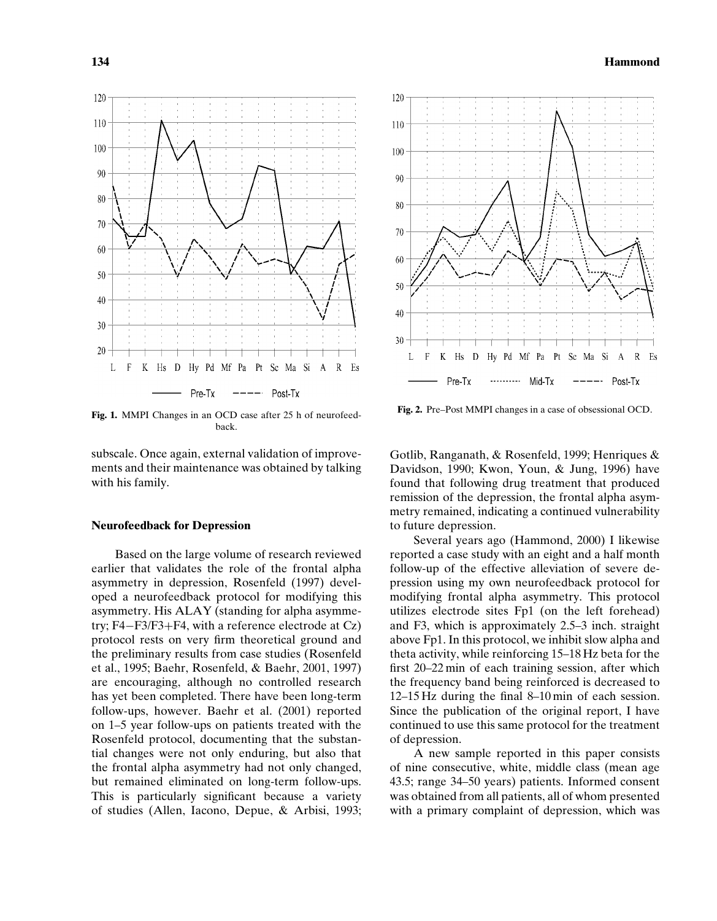

**Fig. 1.** MMPI Changes in an OCD case after 25 h of neurofeedback.

subscale. Once again, external validation of improvements and their maintenance was obtained by talking with his family.

# **Neurofeedback for Depression**

Based on the large volume of research reviewed earlier that validates the role of the frontal alpha asymmetry in depression, Rosenfeld (1997) developed a neurofeedback protocol for modifying this asymmetry. His ALAY (standing for alpha asymmetry; F4−F3/F3+F4, with a reference electrode at Cz) protocol rests on very firm theoretical ground and the preliminary results from case studies (Rosenfeld et al., 1995; Baehr, Rosenfeld, & Baehr, 2001, 1997) are encouraging, although no controlled research has yet been completed. There have been long-term follow-ups, however. Baehr et al. (2001) reported on 1–5 year follow-ups on patients treated with the Rosenfeld protocol, documenting that the substantial changes were not only enduring, but also that the frontal alpha asymmetry had not only changed, but remained eliminated on long-term follow-ups. This is particularly significant because a variety of studies (Allen, Iacono, Depue, & Arbisi, 1993;



**Fig. 2.** Pre–Post MMPI changes in a case of obsessional OCD.

Gotlib, Ranganath, & Rosenfeld, 1999; Henriques & Davidson, 1990; Kwon, Youn, & Jung, 1996) have found that following drug treatment that produced remission of the depression, the frontal alpha asymmetry remained, indicating a continued vulnerability to future depression.

Several years ago (Hammond, 2000) I likewise reported a case study with an eight and a half month follow-up of the effective alleviation of severe depression using my own neurofeedback protocol for modifying frontal alpha asymmetry. This protocol utilizes electrode sites Fp1 (on the left forehead) and F3, which is approximately 2.5–3 inch. straight above Fp1. In this protocol, we inhibit slow alpha and theta activity, while reinforcing 15–18 Hz beta for the first 20–22 min of each training session, after which the frequency band being reinforced is decreased to 12–15 Hz during the final 8–10 min of each session. Since the publication of the original report, I have continued to use this same protocol for the treatment of depression.

A new sample reported in this paper consists of nine consecutive, white, middle class (mean age 43.5; range 34–50 years) patients. Informed consent was obtained from all patients, all of whom presented with a primary complaint of depression, which was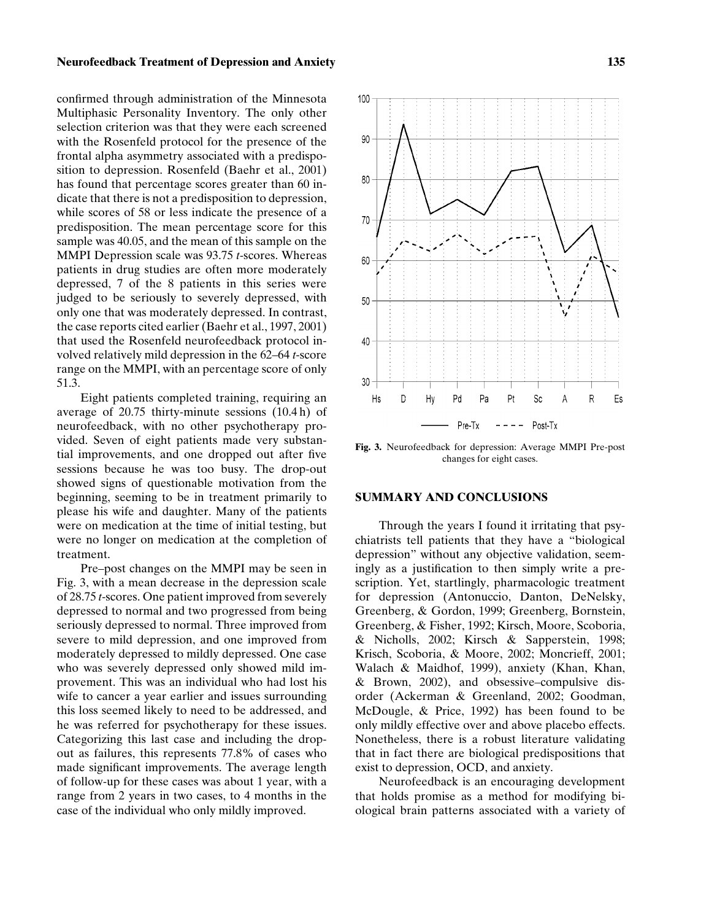## **Neurofeedback Treatment of Depression and Anxiety 135**

confirmed through administration of the Minnesota Multiphasic Personality Inventory. The only other selection criterion was that they were each screened with the Rosenfeld protocol for the presence of the frontal alpha asymmetry associated with a predisposition to depression. Rosenfeld (Baehr et al., 2001) has found that percentage scores greater than 60 indicate that there is not a predisposition to depression, while scores of 58 or less indicate the presence of a predisposition. The mean percentage score for this sample was 40.05, and the mean of this sample on the MMPI Depression scale was 93.75 *t*-scores. Whereas patients in drug studies are often more moderately depressed, 7 of the 8 patients in this series were judged to be seriously to severely depressed, with only one that was moderately depressed. In contrast, the case reports cited earlier (Baehr et al., 1997, 2001) that used the Rosenfeld neurofeedback protocol involved relatively mild depression in the 62–64 *t*-score range on the MMPI, with an percentage score of only 51.3.

Eight patients completed training, requiring an average of 20.75 thirty-minute sessions (10.4 h) of neurofeedback, with no other psychotherapy provided. Seven of eight patients made very substantial improvements, and one dropped out after five sessions because he was too busy. The drop-out showed signs of questionable motivation from the beginning, seeming to be in treatment primarily to please his wife and daughter. Many of the patients were on medication at the time of initial testing, but were no longer on medication at the completion of treatment.

Pre–post changes on the MMPI may be seen in Fig. 3, with a mean decrease in the depression scale of 28.75 *t*-scores. One patient improved from severely depressed to normal and two progressed from being seriously depressed to normal. Three improved from severe to mild depression, and one improved from moderately depressed to mildly depressed. One case who was severely depressed only showed mild improvement. This was an individual who had lost his wife to cancer a year earlier and issues surrounding this loss seemed likely to need to be addressed, and he was referred for psychotherapy for these issues. Categorizing this last case and including the dropout as failures, this represents 77.8% of cases who made significant improvements. The average length of follow-up for these cases was about 1 year, with a range from 2 years in two cases, to 4 months in the case of the individual who only mildly improved.



**Fig. 3.** Neurofeedback for depression: Average MMPI Pre-post changes for eight cases.

#### **SUMMARY AND CONCLUSIONS**

Through the years I found it irritating that psychiatrists tell patients that they have a "biological depression" without any objective validation, seemingly as a justification to then simply write a prescription. Yet, startlingly, pharmacologic treatment for depression (Antonuccio, Danton, DeNelsky, Greenberg, & Gordon, 1999; Greenberg, Bornstein, Greenberg, & Fisher, 1992; Kirsch, Moore, Scoboria, & Nicholls, 2002; Kirsch & Sapperstein, 1998; Krisch, Scoboria, & Moore, 2002; Moncrieff, 2001; Walach & Maidhof, 1999), anxiety (Khan, Khan, & Brown, 2002), and obsessive–compulsive disorder (Ackerman & Greenland, 2002; Goodman, McDougle, & Price, 1992) has been found to be only mildly effective over and above placebo effects. Nonetheless, there is a robust literature validating that in fact there are biological predispositions that exist to depression, OCD, and anxiety.

Neurofeedback is an encouraging development that holds promise as a method for modifying biological brain patterns associated with a variety of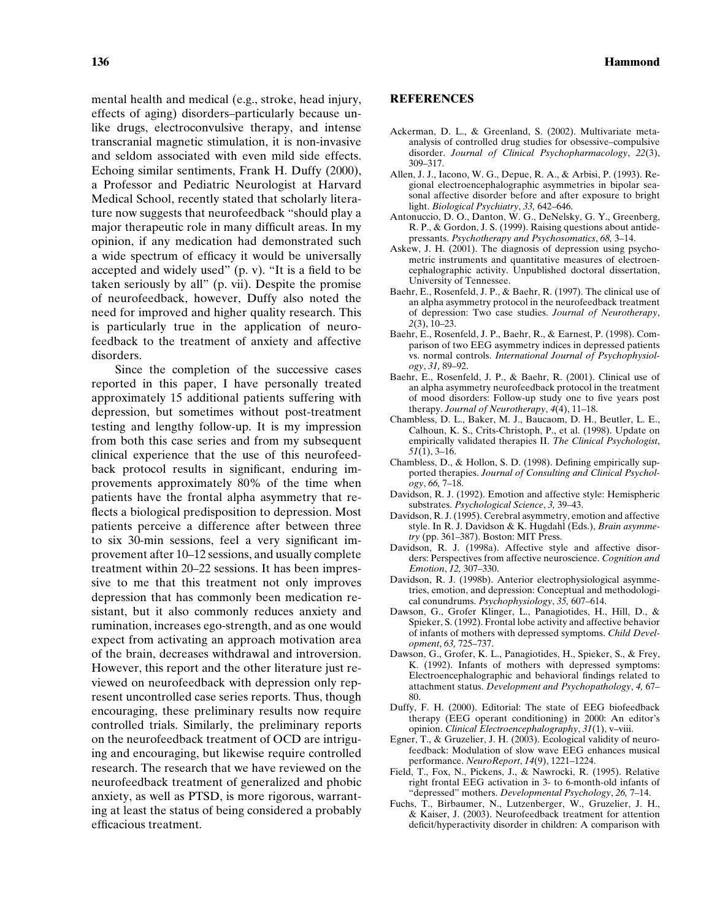mental health and medical (e.g., stroke, head injury, effects of aging) disorders–particularly because unlike drugs, electroconvulsive therapy, and intense transcranial magnetic stimulation, it is non-invasive and seldom associated with even mild side effects. Echoing similar sentiments, Frank H. Duffy (2000), a Professor and Pediatric Neurologist at Harvard Medical School, recently stated that scholarly literature now suggests that neurofeedback "should play a major therapeutic role in many difficult areas. In my opinion, if any medication had demonstrated such a wide spectrum of efficacy it would be universally accepted and widely used" (p. v). "It is a field to be taken seriously by all" (p. vii). Despite the promise of neurofeedback, however, Duffy also noted the need for improved and higher quality research. This is particularly true in the application of neurofeedback to the treatment of anxiety and affective disorders.

Since the completion of the successive cases reported in this paper, I have personally treated approximately 15 additional patients suffering with depression, but sometimes without post-treatment testing and lengthy follow-up. It is my impression from both this case series and from my subsequent clinical experience that the use of this neurofeedback protocol results in significant, enduring improvements approximately 80% of the time when patients have the frontal alpha asymmetry that reflects a biological predisposition to depression. Most patients perceive a difference after between three to six 30-min sessions, feel a very significant improvement after 10–12 sessions, and usually complete treatment within 20–22 sessions. It has been impressive to me that this treatment not only improves depression that has commonly been medication resistant, but it also commonly reduces anxiety and rumination, increases ego-strength, and as one would expect from activating an approach motivation area of the brain, decreases withdrawal and introversion. However, this report and the other literature just reviewed on neurofeedback with depression only represent uncontrolled case series reports. Thus, though encouraging, these preliminary results now require controlled trials. Similarly, the preliminary reports on the neurofeedback treatment of OCD are intriguing and encouraging, but likewise require controlled research. The research that we have reviewed on the neurofeedback treatment of generalized and phobic anxiety, as well as PTSD, is more rigorous, warranting at least the status of being considered a probably efficacious treatment.

# **REFERENCES**

- Ackerman, D. L., & Greenland, S. (2002). Multivariate metaanalysis of controlled drug studies for obsessive–compulsive disorder. *Journal of Clinical Psychopharmacology*, *22*(3), 309–317.
- Allen, J. J., Iacono, W. G., Depue, R. A., & Arbisi, P. (1993). Regional electroencephalographic asymmetries in bipolar seasonal affective disorder before and after exposure to bright light. *Biological Psychiatry*, *33,* 642–646.
- Antonuccio, D. O., Danton, W. G., DeNelsky, G. Y., Greenberg, R. P., & Gordon, J. S. (1999). Raising questions about antidepressants. *Psychotherapy and Psychosomatics*, *68,* 3–14.
- Askew, J. H. (2001). The diagnosis of depression using psychometric instruments and quantitative measures of electroencephalographic activity. Unpublished doctoral dissertation, University of Tennessee.
- Baehr, E., Rosenfeld, J. P., & Baehr, R. (1997). The clinical use of an alpha asymmetry protocol in the neurofeedback treatment of depression: Two case studies. *Journal of Neurotherapy*, *2*(3), 10–23.
- Baehr, E., Rosenfeld, J. P., Baehr, R., & Earnest, P. (1998). Comparison of two EEG asymmetry indices in depressed patients vs. normal controls. *International Journal of Psychophysiology*, *31,* 89–92.
- Baehr, E., Rosenfeld, J. P., & Baehr, R. (2001). Clinical use of an alpha asymmetry neurofeedback protocol in the treatment of mood disorders: Follow-up study one to five years post therapy. *Journal of Neurotherapy*, *4*(4), 11–18.
- Chambless, D. L., Baker, M. J., Baucaom, D. H., Beutler, L. E., Calhoun, K. S., Crits-Christoph, P., et al. (1998). Update on empirically validated therapies II. *The Clinical Psychologist*, *51*(1), 3–16.
- Chambless, D., & Hollon, S. D. (1998). Defining empirically supported therapies. *Journal of Consulting and Clinical Psychology*, *66,* 7–18.
- Davidson, R. J. (1992). Emotion and affective style: Hemispheric substrates. *Psychological Science*, *3,* 39–43.
- Davidson, R. J. (1995). Cerebral asymmetry, emotion and affective style. In R. J. Davidson & K. Hugdahl (Eds.), *Brain asymmetry* (pp. 361–387). Boston: MIT Press.
- Davidson, R. J. (1998a). Affective style and affective disorders: Perspectives from affective neuroscience. *Cognition and Emotion*, *12,* 307–330.
- Davidson, R. J. (1998b). Anterior electrophysiological asymmetries, emotion, and depression: Conceptual and methodological conundrums. *Psychophysiology*, *35,* 607–614.
- Dawson, G., Grofer Klinger, L., Panagiotides, H., Hill, D., & Spieker, S. (1992). Frontal lobe activity and affective behavior of infants of mothers with depressed symptoms. *Child Development*, *63,* 725–737.
- Dawson, G., Grofer, K. L., Panagiotides, H., Spieker, S., & Frey, K. (1992). Infants of mothers with depressed symptoms: Electroencephalographic and behavioral findings related to attachment status. *Development and Psychopathology*, *4,* 67– 80.
- Duffy, F. H. (2000). Editorial: The state of EEG biofeedback therapy (EEG operant conditioning) in 2000: An editor's opinion. *Clinical Electroencephalography*, *31*(1), v–viii.
- Egner, T., & Gruzelier, J. H. (2003). Ecological validity of neurofeedback: Modulation of slow wave EEG enhances musical performance. *NeuroReport*, *14*(9), 1221–1224.
- Field, T., Fox, N., Pickens, J., & Nawrocki, R. (1995). Relative right frontal EEG activation in 3- to 6-month-old infants of "depressed" mothers. *Developmental Psychology*, *26,* 7–14.
- Fuchs, T., Birbaumer, N., Lutzenberger, W., Gruzelier, J. H., & Kaiser, J. (2003). Neurofeedback treatment for attention deficit/hyperactivity disorder in children: A comparison with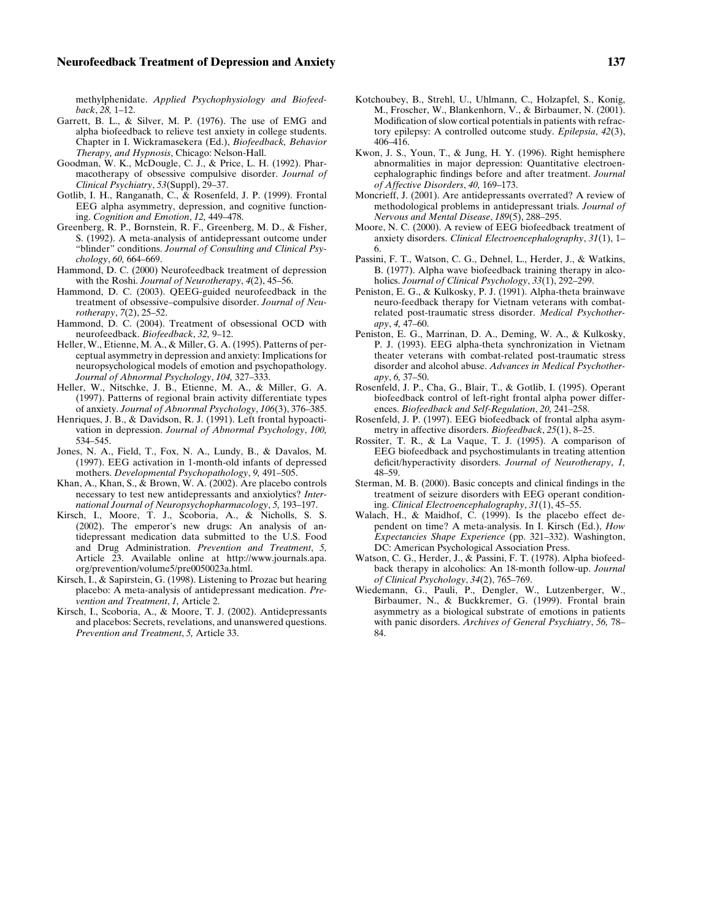methylphenidate. *Applied Psychophysiology and Biofeedback*, *28,* 1–12.

- Garrett, B. L., & Silver, M. P. (1976). The use of EMG and alpha biofeedback to relieve test anxiety in college students. Chapter in I. Wickramasekera (Ed.), *Biofeedback, Behavior Therapy, and Hypnosis*, Chicago: Nelson-Hall.
- Goodman, W. K., McDougle, C. J., & Price, L. H. (1992). Pharmacotherapy of obsessive compulsive disorder. *Journal of Clinical Psychiatry*, *53*(Suppl), 29–37.
- Gotlib, I. H., Ranganath, C., & Rosenfeld, J. P. (1999). Frontal EEG alpha asymmetry, depression, and cognitive functioning. *Cognition and Emotion*, *12,* 449–478.
- Greenberg, R. P., Bornstein, R. F., Greenberg, M. D., & Fisher, S. (1992). A meta-analysis of antidepressant outcome under "blinder" conditions. *Journal of Consulting and Clinical Psychology*, *60,* 664–669.
- Hammond, D. C. (2000) Neurofeedback treatment of depression with the Roshi. *Journal of Neurotherapy*, *4*(2), 45–56.
- Hammond, D. C. (2003). QEEG-guided neurofeedback in the treatment of obsessive–compulsive disorder. *Journal of Neurotherapy*, *7*(2), 25–52.
- Hammond, D. C. (2004). Treatment of obsessional OCD with neurofeedback. *Biofeedback*, *32,* 9–12.
- Heller, W., Etienne, M. A., & Miller, G. A. (1995). Patterns of perceptual asymmetry in depression and anxiety: Implications for neuropsychological models of emotion and psychopathology. *Journal of Abnormal Psychology*, *104,* 327–333.
- Heller, W., Nitschke, J. B., Etienne, M. A., & Miller, G. A. (1997). Patterns of regional brain activity differentiate types of anxiety. *Journal of Abnormal Psychology*, *106*(3), 376–385.
- Henriques, J. B., & Davidson, R. J. (1991). Left frontal hypoactivation in depression. *Journal of Abnormal Psychology*, *100,* 534–545.
- Jones, N. A., Field, T., Fox, N. A., Lundy, B., & Davalos, M. (1997). EEG activation in 1-month-old infants of depressed mothers. *Developmental Psychopathology*, *9,* 491–505.
- Khan, A., Khan, S.,  $\&$  Brown, W. A. (2002). Are placebo controls necessary to test new antidepressants and anxiolytics? *International Journal of Neuropsychopharmacology*, *5,* 193–197.
- Kirsch, I., Moore, T. J., Scoboria, A., & Nicholls, S. S. (2002). The emperor's new drugs: An analysis of antidepressant medication data submitted to the U.S. Food and Drug Administration. *Prevention and Treatment*, *5,* Article 23. Available online at http://www.journals.apa. org/prevention/volume5/pre0050023a.html.
- Kirsch, I., & Sapirstein, G. (1998). Listening to Prozac but hearing placebo: A meta-analysis of antidepressant medication. *Prevention and Treatment*, *1,* Article 2.
- Kirsch, I., Scoboria, A., & Moore, T. J. (2002). Antidepressants and placebos: Secrets, revelations, and unanswered questions. *Prevention and Treatment*, *5,* Article 33.
- Kotchoubey, B., Strehl, U., Uhlmann, C., Holzapfel, S., Konig, M., Froscher, W., Blankenhorn, V., & Birbaumer, N. (2001). Modification of slow cortical potentials in patients with refractory epilepsy: A controlled outcome study. *Epilepsia*, *42*(3), 406–416.
- Kwon, J. S., Youn, T., & Jung, H. Y. (1996). Right hemisphere abnormalities in major depression: Quantitative electroencephalographic findings before and after treatment. *Journal of Affective Disorders*, *40,* 169–173.
- Moncrieff, J. (2001). Are antidepressants overrated? A review of methodological problems in antidepressant trials. *Journal of Nervous and Mental Disease*, *189*(5), 288–295.
- Moore, N. C. (2000). A review of EEG biofeedback treatment of anxiety disorders. *Clinical Electroencephalography*, *31*(1), 1– 6.
- Passini, F. T., Watson, C. G., Dehnel, L., Herder, J., & Watkins, B. (1977). Alpha wave biofeedback training therapy in alcoholics. *Journal of Clinical Psychology*, *33*(1), 292–299.
- Peniston, E. G., & Kulkosky, P. J. (1991). Alpha-theta brainwave neuro-feedback therapy for Vietnam veterans with combatrelated post-traumatic stress disorder. *Medical Psychotherapy*, *4,* 47–60.
- Peniston, E. G., Marrinan, D. A., Deming, W. A., & Kulkosky, P. J. (1993). EEG alpha-theta synchronization in Vietnam theater veterans with combat-related post-traumatic stress disorder and alcohol abuse. *Advances in Medical Psychotherapy*, *6,* 37–50.
- Rosenfeld, J. P., Cha, G., Blair, T., & Gotlib, I. (1995). Operant biofeedback control of left-right frontal alpha power differences. *Biofeedback and Self-Regulation*, *20,* 241–258.
- Rosenfeld, J. P. (1997). EEG biofeedback of frontal alpha asymmetry in affective disorders. *Biofeedback*, *25*(1), 8–25.
- Rossiter, T. R., & La Vaque, T. J. (1995). A comparison of EEG biofeedback and psychostimulants in treating attention deficit/hyperactivity disorders. *Journal of Neurotherapy*, *1,* 48–59.
- Sterman, M. B. (2000). Basic concepts and clinical findings in the treatment of seizure disorders with EEG operant conditioning. *Clinical Electroencephalography*, *31*(1), 45–55.
- Walach, H., & Maidhof, C. (1999). Is the placebo effect dependent on time? A meta-analysis. In I. Kirsch (Ed.), *How Expectancies Shape Experience* (pp. 321–332). Washington, DC: American Psychological Association Press.
- Watson, C. G., Herder, J., & Passini, F. T. (1978). Alpha biofeedback therapy in alcoholics: An 18-month follow-up. *Journal of Clinical Psychology*, *34*(2), 765–769.
- Wiedemann, G., Pauli, P., Dengler, W., Lutzenberger, W., Birbaumer, N., & Buckkremer, G. (1999). Frontal brain asymmetry as a biological substrate of emotions in patients with panic disorders. *Archives of General Psychiatry*, *56,* 78– 84.